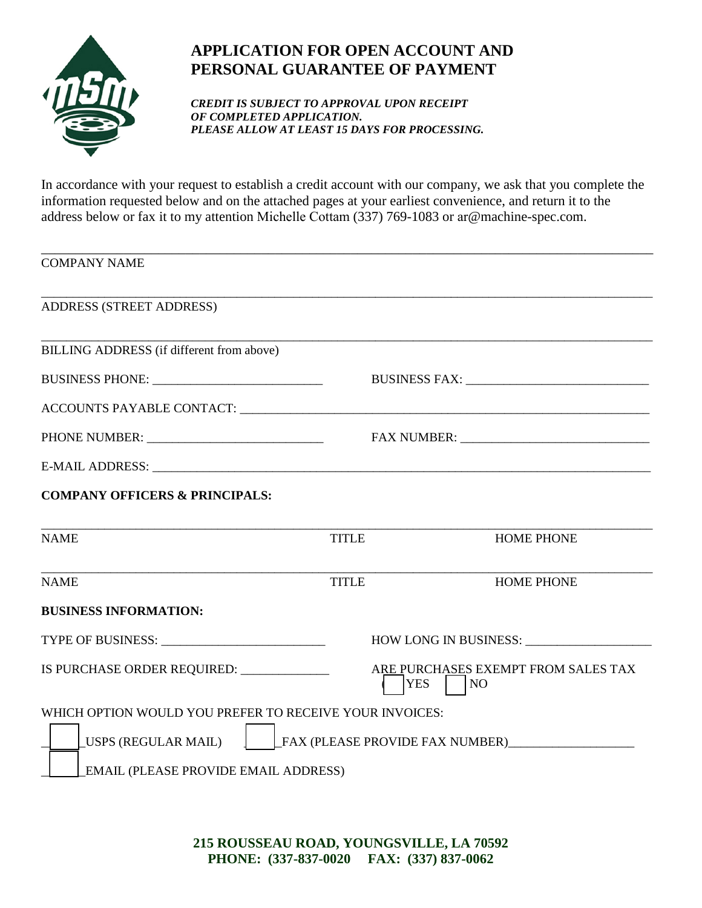

## **APPLICATION FOR OPEN ACCOUNT AND PERSONAL GUARANTEE OF PAYMENT**

*CREDIT IS SUBJECT TO APPROVAL UPON RECEIPT OF COMPLETED APPLICATION. PLEASE ALLOW AT LEAST 15 DAYS FOR PROCESSING.*

In accordance with your request to establish a credit account with our company, we ask that you complete the information requested below and on the attached pages at your earliest convenience, and return it to the address below or fax it to my attention Michelle Cottam (337) 769-1083 or ar@machine-spec.com.

| <b>COMPANY NAME</b>                                                                                               |              |                                                         |
|-------------------------------------------------------------------------------------------------------------------|--------------|---------------------------------------------------------|
| ADDRESS (STREET ADDRESS)                                                                                          |              |                                                         |
| BILLING ADDRESS (if different from above)                                                                         |              |                                                         |
|                                                                                                                   |              |                                                         |
|                                                                                                                   |              |                                                         |
|                                                                                                                   |              |                                                         |
|                                                                                                                   |              |                                                         |
| <b>COMPANY OFFICERS &amp; PRINCIPALS:</b>                                                                         |              |                                                         |
| <b>NAME</b>                                                                                                       | <b>TITLE</b> | <b>HOME PHONE</b>                                       |
| <b>NAME</b>                                                                                                       | <b>TITLE</b> | <b>HOME PHONE</b>                                       |
| <b>BUSINESS INFORMATION:</b>                                                                                      |              |                                                         |
| TYPE OF BUSINESS: University Property of Business and Property Property Property Property Property Property Pro   |              | HOW LONG IN BUSINESS: ____                              |
| IS PURCHASE ORDER REQUIRED: _____________                                                                         |              | ARE PURCHASES EXEMPT FROM SALES TAX<br><b>YES</b><br>NO |
| WHICH OPTION WOULD YOU PREFER TO RECEIVE YOUR INVOICES:<br>FAX (PLEASE PROVIDE FAX NUMBER)<br>USPS (REGULAR MAIL) |              |                                                         |
| EMAIL (PLEASE PROVIDE EMAIL ADDRESS)                                                                              |              |                                                         |

**215 ROUSSEAU ROAD, YOUNGSVILLE, LA 70592 PHONE: (337-837-0020 FAX: (337) 837-0062**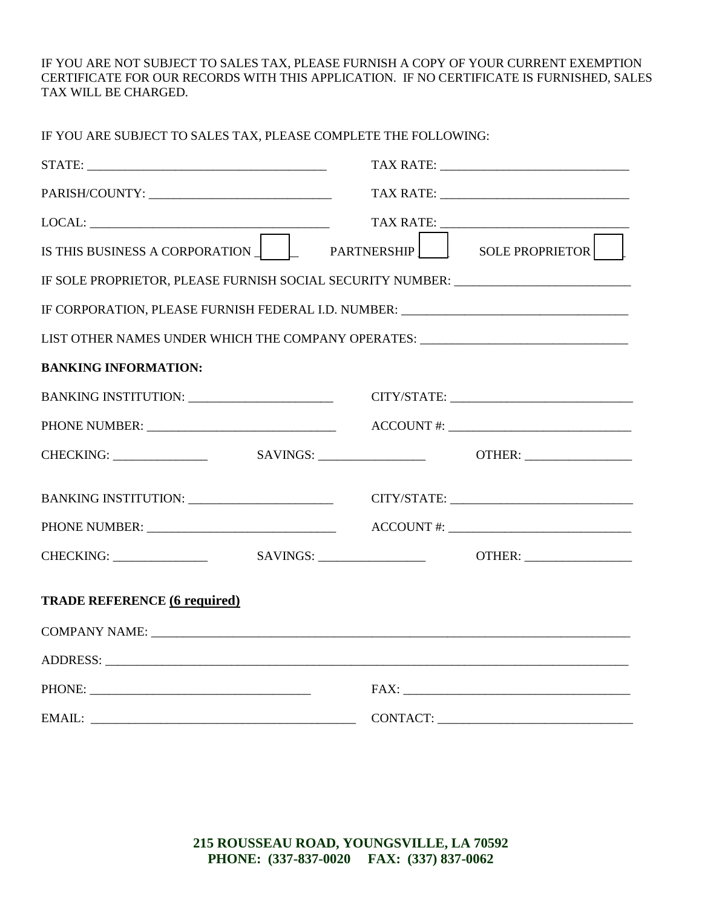IF YOU ARE NOT SUBJECT TO SALES TAX, PLEASE FURNISH A COPY OF YOUR CURRENT EXEMPTION CERTIFICATE FOR OUR RECORDS WITH THIS APPLICATION. IF NO CERTIFICATE IS FURNISHED, SALES TAX WILL BE CHARGED.

| IF YOU ARE SUBJECT TO SALES TAX, PLEASE COMPLETE THE FOLLOWING: |                                                                                  |
|-----------------------------------------------------------------|----------------------------------------------------------------------------------|
|                                                                 |                                                                                  |
|                                                                 |                                                                                  |
|                                                                 |                                                                                  |
|                                                                 | IS THIS BUSINESS A CORPORATION PARTNERSHIP SOLE PROPRIETOR                       |
|                                                                 | IF SOLE PROPRIETOR, PLEASE FURNISH SOCIAL SECURITY NUMBER: _____________________ |
|                                                                 | IF CORPORATION, PLEASE FURNISH FEDERAL I.D. NUMBER: ____________________________ |
|                                                                 | LIST OTHER NAMES UNDER WHICH THE COMPANY OPERATES: _____________________________ |
| <b>BANKING INFORMATION:</b>                                     |                                                                                  |
|                                                                 |                                                                                  |
|                                                                 |                                                                                  |
|                                                                 |                                                                                  |
|                                                                 |                                                                                  |
|                                                                 |                                                                                  |
|                                                                 |                                                                                  |
| <b>TRADE REFERENCE (6 required)</b>                             |                                                                                  |
|                                                                 |                                                                                  |
|                                                                 |                                                                                  |
|                                                                 |                                                                                  |
|                                                                 |                                                                                  |

**215 ROUSSEAU ROAD, YOUNGSVILLE, LA 70592 PHONE: (337-837-0020 FAX: (337) 837-0062**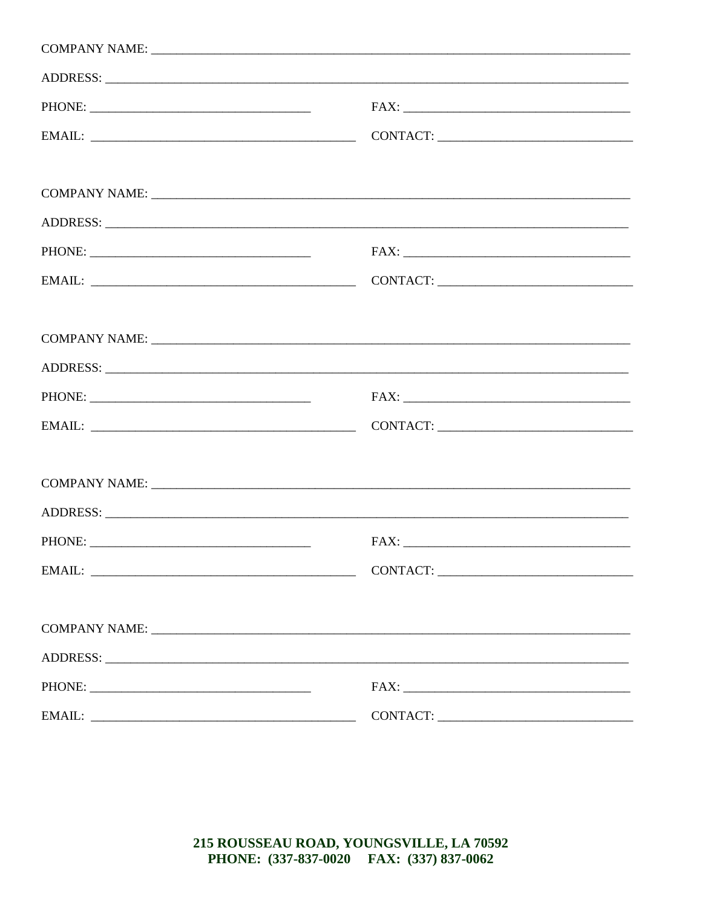| CONTACT:                                                                                                                                                                                                                |  |
|-------------------------------------------------------------------------------------------------------------------------------------------------------------------------------------------------------------------------|--|
|                                                                                                                                                                                                                         |  |
|                                                                                                                                                                                                                         |  |
|                                                                                                                                                                                                                         |  |
|                                                                                                                                                                                                                         |  |
|                                                                                                                                                                                                                         |  |
|                                                                                                                                                                                                                         |  |
| $\text{FAX:}\underbrace{\hspace{2.5cm}}_{\text{max}}\hspace{2.5cm}\underbrace{\hspace{2.5cm}}_{\text{max}}\hspace{2.5cm}\underbrace{\hspace{2.5cm}}_{\text{max}}\hspace{2.5cm}\underbrace{\hspace{2.5cm}}_{\text{max}}$ |  |
|                                                                                                                                                                                                                         |  |
|                                                                                                                                                                                                                         |  |
|                                                                                                                                                                                                                         |  |
|                                                                                                                                                                                                                         |  |
|                                                                                                                                                                                                                         |  |
|                                                                                                                                                                                                                         |  |
|                                                                                                                                                                                                                         |  |
|                                                                                                                                                                                                                         |  |
|                                                                                                                                                                                                                         |  |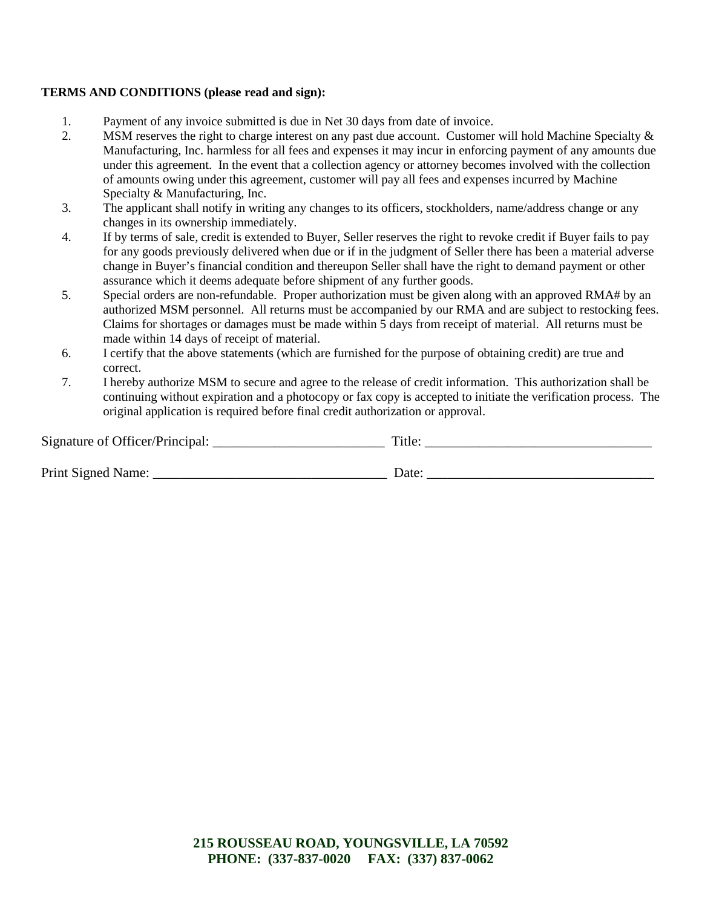## **TERMS AND CONDITIONS (please read and sign):**

- 1. Payment of any invoice submitted is due in Net 30 days from date of invoice.
- 2. MSM reserves the right to charge interest on any past due account. Customer will hold Machine Specialty & Manufacturing, Inc. harmless for all fees and expenses it may incur in enforcing payment of any amounts due under this agreement. In the event that a collection agency or attorney becomes involved with the collection of amounts owing under this agreement, customer will pay all fees and expenses incurred by Machine Specialty & Manufacturing, Inc.
- 3. The applicant shall notify in writing any changes to its officers, stockholders, name/address change or any changes in its ownership immediately.
- 4. If by terms of sale, credit is extended to Buyer, Seller reserves the right to revoke credit if Buyer fails to pay for any goods previously delivered when due or if in the judgment of Seller there has been a material adverse change in Buyer's financial condition and thereupon Seller shall have the right to demand payment or other assurance which it deems adequate before shipment of any further goods.
- 5. Special orders are non-refundable. Proper authorization must be given along with an approved RMA# by an authorized MSM personnel. All returns must be accompanied by our RMA and are subject to restocking fees. Claims for shortages or damages must be made within 5 days from receipt of material. All returns must be made within 14 days of receipt of material.
- 6. I certify that the above statements (which are furnished for the purpose of obtaining credit) are true and correct.
- 7. I hereby authorize MSM to secure and agree to the release of credit information. This authorization shall be continuing without expiration and a photocopy or fax copy is accepted to initiate the verification process. The original application is required before final credit authorization or approval.

| Signature of Officer/Principal: | Title:            |
|---------------------------------|-------------------|
|                                 |                   |
| Print Signed Name:              | Date <sup>.</sup> |